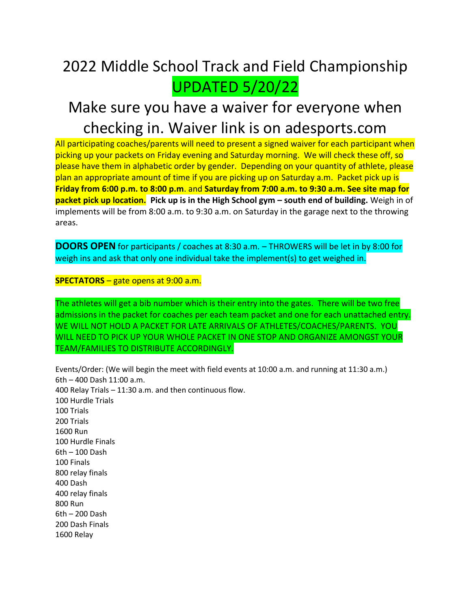# 2022 Middle School Track and Field Championship UPDATED 5/20/22

## Make sure you have a waiver for everyone when checking in. Waiver link is on adesports.com

All participating coaches/parents will need to present a signed waiver for each participant when picking up your packets on Friday evening and Saturday morning. We will check these off, so please have them in alphabetic order by gender. Depending on your quantity of athlete, please plan an appropriate amount of time if you are picking up on Saturday a.m. Packet pick up is **Friday from 6:00 p.m. to 8:00 p.m**. and **Saturday from 7:00 a.m. to 9:30 a.m. See site map for packet pick up location. Pick up is in the High School gym – south end of building.** Weigh in of implements will be from 8:00 a.m. to 9:30 a.m. on Saturday in the garage next to the throwing areas.

**DOORS OPEN** for participants / coaches at 8:30 a.m. – THROWERS will be let in by 8:00 for weigh ins and ask that only one individual take the implement(s) to get weighed in.

**SPECTATORS** – gate opens at 9:00 a.m.

The athletes will get a bib number which is their entry into the gates. There will be two free admissions in the packet for coaches per each team packet and one for each unattached entry. WE WILL NOT HOLD A PACKET FOR LATE ARRIVALS OF ATHLETES/COACHES/PARENTS. YOU WILL NEED TO PICK UP YOUR WHOLE PACKET IN ONE STOP AND ORGANIZE AMONGST YOUR TEAM/FAMILIES TO DISTRIBUTE ACCORDINGLY.

Events/Order: (We will begin the meet with field events at 10:00 a.m. and running at 11:30 a.m.) 6th – 400 Dash 11:00 a.m. 400 Relay Trials – 11:30 a.m. and then continuous flow. 100 Hurdle Trials 100 Trials 200 Trials 1600 Run 100 Hurdle Finals 6th – 100 Dash 100 Finals 800 relay finals 400 Dash 400 relay finals 800 Run 6th – 200 Dash 200 Dash Finals 1600 Relay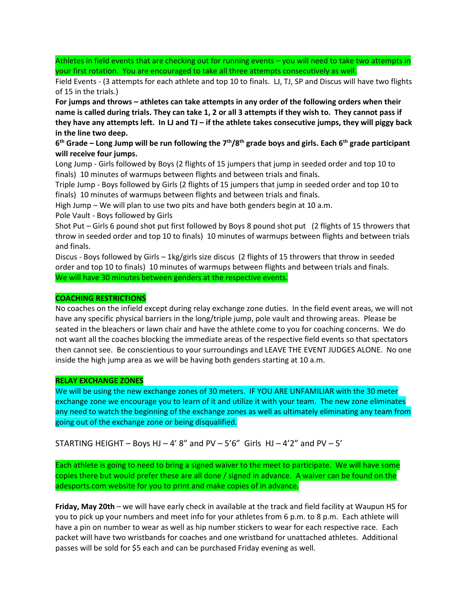Athletes in field events that are checking out for running events – you will need to take two attempts in your first rotation. You are encouraged to take all three attempts consecutively as well.

Field Events - (3 attempts for each athlete and top 10 to finals. LJ, TJ, SP and Discus will have two flights of 15 in the trials.)

**For jumps and throws – athletes can take attempts in any order of the following orders when their name is called during trials. They can take 1, 2 or all 3 attempts if they wish to. They cannot pass if they have any attempts left. In LJ and TJ – if the athlete takes consecutive jumps, they will piggy back in the line two deep.**

**6 th Grade – Long Jump will be run following the 7th/8th grade boys and girls. Each 6th grade participant will receive four jumps.**

Long Jump - Girls followed by Boys (2 flights of 15 jumpers that jump in seeded order and top 10 to finals) 10 minutes of warmups between flights and between trials and finals.

Triple Jump - Boys followed by Girls (2 flights of 15 jumpers that jump in seeded order and top 10 to finals) 10 minutes of warmups between flights and between trials and finals.

High Jump – We will plan to use two pits and have both genders begin at 10 a.m.

Pole Vault - Boys followed by Girls

Shot Put – Girls 6 pound shot put first followed by Boys 8 pound shot put (2 flights of 15 throwers that throw in seeded order and top 10 to finals) 10 minutes of warmups between flights and between trials and finals.

Discus - Boys followed by Girls – 1kg/girls size discus (2 flights of 15 throwers that throw in seeded order and top 10 to finals) 10 minutes of warmups between flights and between trials and finals. We will have 30 minutes between genders at the respective events.

#### **COACHING RESTRICTIONS**

No coaches on the infield except during relay exchange zone duties. In the field event areas, we will not have any specific physical barriers in the long/triple jump, pole vault and throwing areas. Please be seated in the bleachers or lawn chair and have the athlete come to you for coaching concerns. We do not want all the coaches blocking the immediate areas of the respective field events so that spectators then cannot see. Be conscientious to your surroundings and LEAVE THE EVENT JUDGES ALONE. No one inside the high jump area as we will be having both genders starting at 10 a.m.

#### **RELAY EXCHANGE ZONES**

We will be using the new exchange zones of 30 meters. IF YOU ARE UNFAMILIAR with the 30 meter exchange zone we encourage you to learn of it and utilize it with your team. The new zone eliminates any need to watch the beginning of the exchange zones as well as ultimately eliminating any team from going out of the exchange zone or being disqualified.

STARTING HEIGHT – Boys HJ – 4' 8" and PV – 5'6" Girls HJ – 4'2" and PV – 5'

Each athlete is going to need to bring a signed waiver to the meet to participate. We will have some copies there but would prefer these are all done / signed in advance. A waiver can be found on the adesports.com website for you to print and make copies of in advance.

**Friday, May 20th** – we will have early check in available at the track and field facility at Waupun HS for you to pick up your numbers and meet info for your athletes from 6 p.m. to 8 p.m. Each athlete will have a pin on number to wear as well as hip number stickers to wear for each respective race. Each packet will have two wristbands for coaches and one wristband for unattached athletes. Additional passes will be sold for \$5 each and can be purchased Friday evening as well.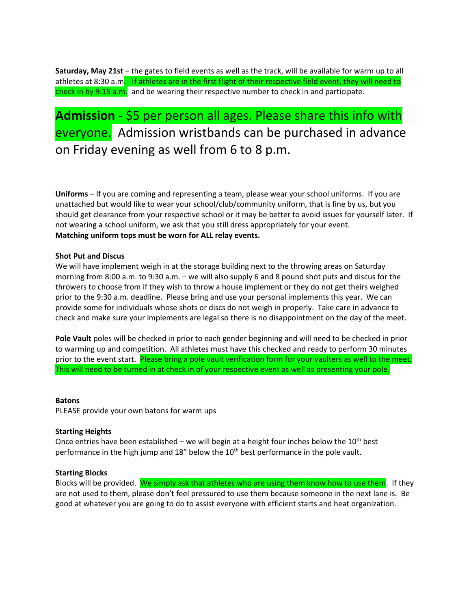**Saturday, May 21st** – the gates to field events as well as the track, will be available for warm up to all athletes at 8:30 a.m. If athletes are in the first flight of their respective field event, they will need to check in by 9:15 a.m. and be wearing their respective number to check in and participate.

### **Admission** - \$5 per person all ages. Please share this info with everyone. Admission wristbands can be purchased in advance on Friday evening as well from 6 to 8 p.m.

**Uniforms** – If you are coming and representing a team, please wear your school uniforms. If you are unattached but would like to wear your school/club/community uniform, that is fine by us, but you should get clearance from your respective school or it may be better to avoid issues for yourself later. If not wearing a school uniform, we ask that you still dress appropriately for your event. **Matching uniform tops must be worn for ALL relay events.**

#### **Shot Put and Discus**

We will have implement weigh in at the storage building next to the throwing areas on Saturday morning from 8:00 a.m. to 9:30 a.m. – we will also supply 6 and 8 pound shot puts and discus for the throwers to choose from if they wish to throw a house implement or they do not get theirs weighed prior to the 9:30 a.m. deadline. Please bring and use your personal implements this year. We can provide some for individuals whose shots or discs do not weigh in properly. Take care in advance to check and make sure your implements are legal so there is no disappointment on the day of the meet.

**Pole Vault** poles will be checked in prior to each gender beginning and will need to be checked in prior to warming up and competition. All athletes must have this checked and ready to perform 30 minutes prior to the event start. Please bring a pole vault verification form for your vaulters as well to the meet. This will need to be turned in at check in of your respective event as well as presenting your pole.

#### **Batons**

PLEASE provide your own batons for warm ups

#### **Starting Heights**

Once entries have been established – we will begin at a height four inches below the  $10<sup>th</sup>$  best performance in the high jump and  $18$ " below the  $10<sup>th</sup>$  best performance in the pole vault.

#### **Starting Blocks**

Blocks will be provided. We simply ask that athletes who are using them know how to use them. If they are not used to them, please don't feel pressured to use them because someone in the next lane is. Be good at whatever you are going to do to assist everyone with efficient starts and heat organization.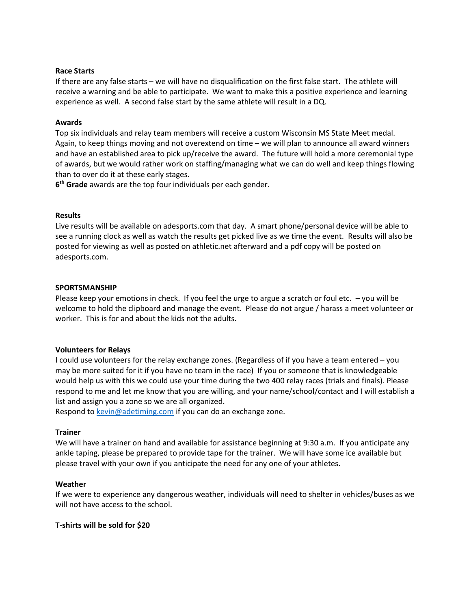#### **Race Starts**

If there are any false starts – we will have no disqualification on the first false start. The athlete will receive a warning and be able to participate. We want to make this a positive experience and learning experience as well. A second false start by the same athlete will result in a DQ.

#### **Awards**

Top six individuals and relay team members will receive a custom Wisconsin MS State Meet medal. Again, to keep things moving and not overextend on time – we will plan to announce all award winners and have an established area to pick up/receive the award. The future will hold a more ceremonial type of awards, but we would rather work on staffing/managing what we can do well and keep things flowing than to over do it at these early stages.

**6 th Grade** awards are the top four individuals per each gender.

#### **Results**

Live results will be available on adesports.com that day. A smart phone/personal device will be able to see a running clock as well as watch the results get picked live as we time the event. Results will also be posted for viewing as well as posted on athletic.net afterward and a pdf copy will be posted on adesports.com.

#### **SPORTSMANSHIP**

Please keep your emotions in check. If you feel the urge to argue a scratch or foul etc. – you will be welcome to hold the clipboard and manage the event. Please do not argue / harass a meet volunteer or worker. This is for and about the kids not the adults.

#### **Volunteers for Relays**

I could use volunteers for the relay exchange zones. (Regardless of if you have a team entered – you may be more suited for it if you have no team in the race) If you or someone that is knowledgeable would help us with this we could use your time during the two 400 relay races (trials and finals). Please respond to me and let me know that you are willing, and your name/school/contact and I will establish a list and assign you a zone so we are all organized.

Respond to [kevin@adetiming.com](mailto:kevin@adetiming.com) if you can do an exchange zone.

#### **Trainer**

We will have a trainer on hand and available for assistance beginning at 9:30 a.m. If you anticipate any ankle taping, please be prepared to provide tape for the trainer. We will have some ice available but please travel with your own if you anticipate the need for any one of your athletes.

#### **Weather**

If we were to experience any dangerous weather, individuals will need to shelter in vehicles/buses as we will not have access to the school.

#### **T-shirts will be sold for \$20**